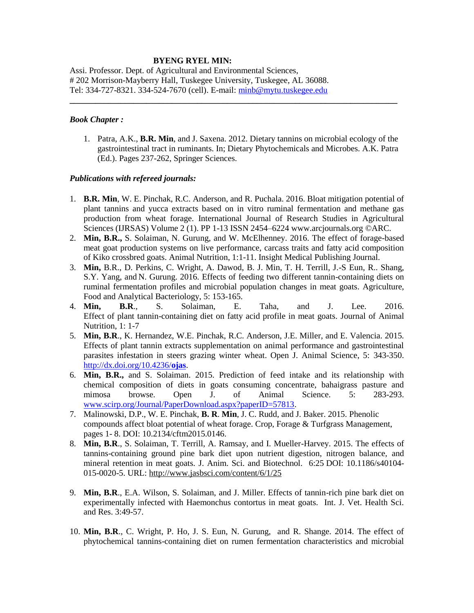# **BYENG RYEL MIN:**

Assi. Professor. Dept. of Agricultural and Environmental Sciences, # 202 Morrison-Mayberry Hall, Tuskegee University, Tuskegee, AL 36088. Tel: 334-727-8321. 334-524-7670 (cell). E-mail: [minb@mytu.tuskegee.edu](mailto:minb@mytu.tuskegee.edu)

# *Book Chapter :*

1. Patra, A.K., **B.R. Min**, and J. Saxena. 2012. Dietary tannins on microbial ecology of the gastrointestinal tract in ruminants. In; Dietary Phytochemicals and Microbes. A.K. Patra (Ed.). Pages 237-262, Springer Sciences.

**\_\_\_\_\_\_\_\_\_\_\_\_\_\_\_\_\_\_\_\_\_\_\_\_\_\_\_\_\_\_\_\_\_\_\_\_\_\_\_\_\_\_\_\_\_\_\_\_\_\_\_\_\_\_\_\_\_\_\_\_\_\_\_\_\_\_\_\_\_\_\_\_\_\_\_\_\_**

#### *Publications with refereed journals:*

- 1. **B.R. Min**, W. E. Pinchak, R.C. Anderson, and R. Puchala. 2016. Bloat mitigation potential of plant tannins and yucca extracts based on in vitro ruminal fermentation and methane gas production from wheat forage. International Journal of Research Studies in Agricultural Sciences (IJRSAS) Volume 2 (1). PP 1-13 ISSN 2454–6224 www.arcjournals.org ©ARC.
- 2. **Min, B.R.,** S. Solaiman, N. Gurung, and W. McElhenney. 2016. The effect of forage-based meat goat production systems on live performance, carcass traits and fatty acid composition of Kiko crossbred goats. Animal Nutrition, 1:1-11. Insight Medical Publishing Journal.
- 3. **Min,** B.R., D. Perkins, C. Wright, A. Dawod, B. J. Min, T. H. Terrill, J.-S Eun, R.. Shang, S.Y. Yang, and N. Gurung. 2016. Effects of feeding two different tannin-containing diets on ruminal fermentation profiles and microbial population changes in meat goats. Agriculture, Food and Analytical Bacteriology, 5: 153-165.
- 4. **Min, B.R**., S. Solaiman, E. Taha, and J. Lee. 2016. Effect of plant tannin-containing diet on fatty acid profile in meat goats. Journal of Animal Nutrition, 1: 1-7
- 5. **Min, B.R**., K. Hernandez, W.E. Pinchak, R.C. Anderson, J.E. Miller, and E. Valencia. 2015. Effects of plant tannin extracts supplementation on animal performance and gastrointestinal parasites infestation in steers grazing winter wheat. Open J. Animal Science, 5: 343-350. [http://dx.doi.org/10.4236/](http://dx.doi.org/10.4236/ojas)**ojas**.
- 6. **Min, B.R.,** and S. Solaiman. 2015. Prediction of feed intake and its relationship with chemical composition of diets in goats consuming concentrate, bahaigrass pasture and mimosa browse. Open J. of Animal Science. 5: 283-293. [www.scirp.org/Journal/PaperDownload.aspx?paperID=57813.](http://www.scirp.org/Journal/PaperDownload.aspx?paperID=57813)
- 7. Malinowski, D.P., W. E. Pinchak, **B. R**. **Min**, J. C. Rudd, and J. Baker. 2015. Phenolic compounds affect bloat potential of wheat forage. Crop, Forage & Turfgrass Management, pages 1- 8. DOI: 10.2134/cftm2015.0146.
- 8. **Min, B.R**., S. Solaiman, T. Terrill, A. Ramsay, and I. Mueller-Harvey. 2015. The effects of tannins-containing ground pine bark diet upon nutrient digestion, nitrogen balance, and mineral retention in meat goats. J. Anim. Sci. and Biotechnol. 6:25 DOI: 10.1186/s40104- 015-0020-5. URL:<http://www.jasbsci.com/content/6/1/25>
- 9. **Min, B.R**., E.A. Wilson, S. Solaiman, and J. Miller. Effects of tannin-rich pine bark diet on experimentally infected with Haemonchus contortus in meat goats. Int. J. Vet. Health Sci. and Res. 3:49-57.
- 10. **Min, B.R**., C. Wright, P. Ho, J. S. Eun, N. Gurung, and R. Shange. 2014. The effect of phytochemical tannins-containing diet on rumen fermentation characteristics and microbial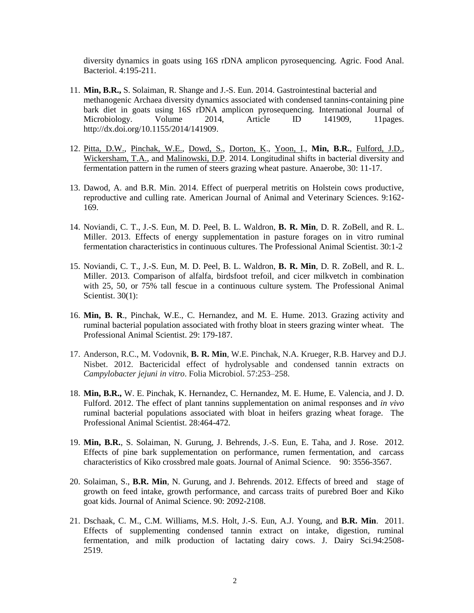diversity dynamics in goats using 16S rDNA amplicon pyrosequencing. Agric. Food Anal. Bacteriol. 4:195-211.

- 11. **Min, B.R.,** S. Solaiman, R. Shange and J.-S. Eun. 2014. Gastrointestinal bacterial and methanogenic Archaea diversity dynamics associated with condensed tannins-containing pine bark diet in goats using 16S rDNA amplicon pyrosequencing. International Journal of Microbiology. Volume 2014, Article ID 141909, 11 pages. [http://dx.doi.org/10.1155/2014/141909.](http://dx.doi.org/10.1155/2014/141909)
- 12. [Pitta, D.W.,](http://www.scopus.com/authid/detail.url?authorId=36958322900&eid=2-s2.0-84905695108) [Pinchak, W.E.,](http://www.scopus.com/authid/detail.url?authorId=6602575703&eid=2-s2.0-84905695108) [Dowd, S.,](http://www.scopus.com/authid/detail.url?authorId=25627491800&eid=2-s2.0-84905695108) [Dorton, K.](http://www.scopus.com/authid/detail.url?authorId=6507500742&eid=2-s2.0-84905695108), [Yoon, I.](http://www.scopus.com/authid/detail.url?authorId=55785976500&eid=2-s2.0-84905695108), **[Min, B.R.](http://www.scopus.com/authid/detail.url?authorId=7202931977&eid=2-s2.0-84905695108)**, [Fulford, J.D.,](http://www.scopus.com/authid/detail.url?authorId=9435028300&eid=2-s2.0-84905695108) [Wickersham, T.A.,](http://www.scopus.com/authid/detail.url?authorId=6507380901&eid=2-s2.0-84905695108) and [Malinowski, D.P.](http://www.scopus.com/authid/detail.url?authorId=6701862362&eid=2-s2.0-84905695108) 2014. Longitudinal shifts in bacterial diversity and fermentation pattern in the rumen of steers grazing wheat pasture. Anaerobe, 30: 11-17.
- 13. Dawod, A. and B.R. Min. 2014. Effect of puerperal metritis on Holstein cows productive, reproductive and culling rate. American Journal of Animal and Veterinary Sciences. 9:162- 169.
- 14. Noviandi, C. T., J.-S. Eun, M. D. Peel, B. L. Waldron, **B. R. Min**, D. R. ZoBell, and R. L. Miller. 2013. Effects of energy supplementation in pasture forages on in vitro ruminal fermentation characteristics in continuous cultures. The Professional Animal Scientist. 30:1-2
- 15. Noviandi, C. T., J.-S. Eun, M. D. Peel, B. L. Waldron, **B. R. Min**, D. R. ZoBell, and R. L. Miller. 2013. Comparison of alfalfa, birdsfoot trefoil, and cicer milkvetch in combination with 25, 50, or 75% tall fescue in a continuous culture system. The Professional Animal Scientist. 30(1):
- 16. **Min, B. R**., Pinchak, W.E., C. Hernandez, and M. E. Hume. 2013. Grazing activity and ruminal bacterial population associated with frothy bloat in steers grazing winter wheat. The Professional Animal Scientist. 29: 179-187.
- 17. Anderson, R.C., M. Vodovnik, **B. R. Min**, W.E. Pinchak, N.A. Krueger, R.B. Harvey and D.J. Nisbet. 2012. Bactericidal effect of hydrolysable and condensed tannin extracts on *Campylobacter jejuni in vitro*. Folia Microbiol. 57:253–258.
- 18. **Min, B.R.,** W. E. Pinchak, K. Hernandez, C. Hernandez, M. E. Hume, E. Valencia, and J. D. Fulford. 2012. The effect of plant tannins supplementation on animal responses and *in vivo*  ruminal bacterial populations associated with bloat in heifers grazing wheat forage. The Professional Animal Scientist. 28:464-472.
- 19. **Min, B.R.**, S. Solaiman, N. Gurung, J. Behrends, J.-S. Eun, E. Taha, and J. Rose. 2012. Effects of pine bark supplementation on performance, rumen fermentation, and carcass characteristics of Kiko crossbred male goats. Journal of Animal Science. 90: 3556-3567.
- 20. Solaiman, S., **B.R. Min**, N. Gurung, and J. Behrends. 2012. Effects of breed and stage of growth on feed intake, growth performance, and carcass traits of purebred Boer and Kiko goat kids. Journal of Animal Science. 90: 2092-2108.
- 21. Dschaak, C. M., C.M. Williams, M.S. Holt, J.-S. Eun, A.J. Young, and **B.R. Min**. 2011. Effects of supplementing condensed tannin extract on intake, digestion, ruminal fermentation, and milk production of lactating dairy cows. J. Dairy Sci.94:2508- 2519.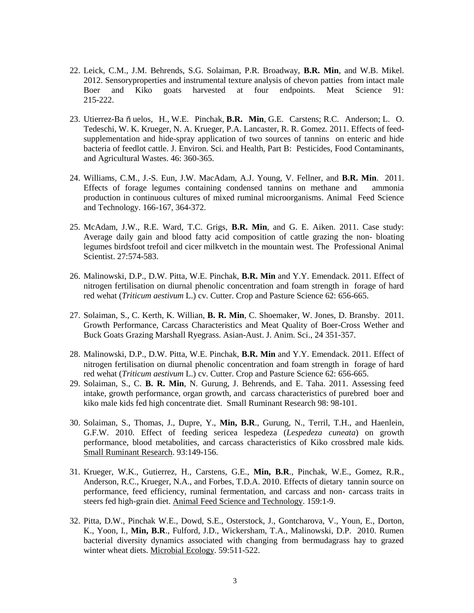- 22. Leick, C.M., J.M. Behrends, S.G. Solaiman, P.R. Broadway, **B.R. Min**, and W.B. Mikel. 2012. Sensoryproperties and instrumental texture analysis of chevon patties from intact male Boer and Kiko goats harvested at four endpoints. Meat Science 91: 215-222.
- 23. Utierrez-Ba n<sup>n</sup> uelos, H., W.E. Pinchak, B.R. Min, G.E. Carstens; R.C. Anderson; L. O. Tedeschi, W. K. Krueger, N. A. Krueger, P.A. Lancaster, R. R. Gomez. 2011. Effects of feedsupplementation and hide-spray application of two sources of tannins on enteric and hide bacteria of feedlot cattle. J. Environ. Sci. and Health, Part B: Pesticides, Food Contaminants, and Agricultural Wastes. 46: 360-365.
- 24. Williams, C.M., J.-S. Eun, J.W. MacAdam, A.J. Young, V. Fellner, and **B.R. Min**. 2011. Effects of forage legumes containing condensed tannins on methane and ammonia production in continuous cultures of mixed ruminal microorganisms. Animal Feed Science and Technology. 166-167, 364-372.
- 25. McAdam, J.W., R.E. Ward, T.C. Grigs, **B.R. Min**, and G. E. Aiken. 2011. Case study: Average daily gain and blood fatty acid composition of cattle grazing the non- bloating legumes birdsfoot trefoil and cicer milkvetch in the mountain west. The Professional Animal Scientist. 27:574-583.
- 26. Malinowski, D.P., D.W. Pitta, W.E. Pinchak, **B.R. Min** and Y.Y. Emendack. 2011. Effect of nitrogen fertilisation on diurnal phenolic concentration and foam strength in forage of hard red wehat (*Triticum aestivum* L.) cv. Cutter. Crop and Pasture Science 62: 656-665.
- 27. Solaiman, S., C. Kerth, K. Willian, **B. R. Min**, C. Shoemaker, W. Jones, D. Bransby. 2011. Growth Performance, Carcass Characteristics and Meat Quality of Boer-Cross Wether and Buck Goats Grazing Marshall Ryegrass. Asian-Aust. J. Anim. Sci., 24 351-357.
- 28. Malinowski, D.P., D.W. Pitta, W.E. Pinchak, **B.R. Min** and Y.Y. Emendack. 2011. Effect of nitrogen fertilisation on diurnal phenolic concentration and foam strength in forage of hard red wehat (*Triticum aestivum* L.) cv. Cutter. Crop and Pasture Science 62: 656-665.
- 29. Solaiman, S., C. **B. R. Min**, N. Gurung, J. Behrends, and E. Taha. 2011. Assessing feed intake, growth performance, organ growth, and carcass characteristics of purebred boer and kiko male kids fed high concentrate diet. Small Ruminant Research 98: 98-101.
- 30. Solaiman, S., Thomas, J., Dupre, Y., **Min, B.R**., Gurung, N., Terril, T.H., and Haenlein, G.F.W. 2010. Effect of feeding sericea lespedeza (*Lespedeza cuneata*) on growth performance, blood metabolities, and carcass characteristics of Kiko crossbred male kids. Small Ruminant Research. 93:149-156.
- 31. Krueger, W.K., Gutierrez, H., Carstens, G.E., **Min, B.R**., Pinchak, W.E., Gomez, R.R., Anderson, R.C., Krueger, N.A., and Forbes, T.D.A. 2010. Effects of dietary tannin source on performance, feed efficiency, ruminal fermentation, and carcass and non- carcass traits in steers fed high-grain diet. Animal Feed Science and Technology. 159:1-9.
- 32. Pitta, D.W., Pinchak W.E., Dowd, S.E., Osterstock, J., Gontcharova, V., Youn, E., Dorton, K., Yoon, I., **Min, B.R**., Fulford, J.D., Wickersham, T.A., Malinowski, D.P. 2010. Rumen bacterial diversity dynamics associated with changing from bermudagrass hay to grazed winter wheat diets. Microbial Ecology. 59:511-522.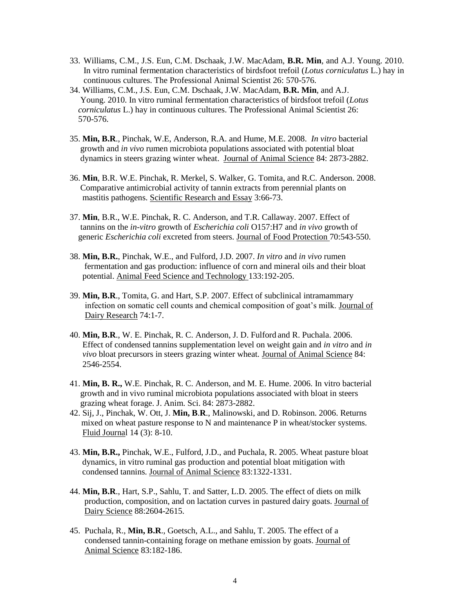- 33. Williams, C.M., J.S. Eun, C.M. Dschaak, J.W. MacAdam, **B.R. Min**, and A.J. Young. 2010. In vitro ruminal fermentation characteristics of birdsfoot trefoil (*Lotus corniculatus* L.) hay in continuous cultures. The Professional Animal Scientist 26: 570-576.
- 34. Williams, C.M., J.S. Eun, C.M. Dschaak, J.W. MacAdam, **B.R. Min**, and A.J. Young. 2010. In vitro ruminal fermentation characteristics of birdsfoot trefoil (*Lotus corniculatus* L.) hay in continuous cultures. The Professional Animal Scientist 26: 570-576.
- 35. **Min, B.R**., Pinchak, W.E, Anderson, R.A. and Hume, M.E. 2008. *In vitro* bacterial growth and *in vivo* rumen microbiota populations associated with potential bloat dynamics in steers grazing winter wheat. Journal of Animal Science 84: 2873-2882.
- 36. **Min**, B.R. W.E. Pinchak, R. Merkel, S. Walker, G. Tomita, and R.C. Anderson. 2008. Comparative antimicrobial activity of tannin extracts from perennial plants on mastitis pathogens. Scientific Research and Essay 3:66-73.
- 37. **Min**, B.R., W.E. Pinchak, R. C. Anderson, and T.R. Callaway. 2007. Effect of tannins on the *in-vitro* growth of *Escherichia coli* O157:H7 and *in vivo* growth of generic *Escherichia coli* excreted from steers. Journal of Food Protection 70:543-550.
- 38. **Min, B.R.**, Pinchak, W.E., and Fulford, J.D. 2007. *In vitro* and *in vivo* rumen fermentation and gas production: influence of corn and mineral oils and their bloat potential. Animal Feed Science and Technology 133:192-205.
- 39. **Min, B.R**., Tomita, G. and Hart, S.P. 2007. Effect of subclinical intramammary infection on somatic cell counts and chemical composition of goat's milk. Journal of Dairy Research 74:1-7.
- 40. **Min, B.R**., W. E. Pinchak, R. C. Anderson, J. D. Fulford and R. Puchala. 2006. Effect of condensed tannins supplementation level on weight gain and *in vitro* and *in vivo* bloat precursors in steers grazing winter wheat. Journal of Animal Science 84: 2546-2554.
- 41. **Min, B. R.,** W.E. Pinchak, R. C. Anderson, and M. E. Hume. 2006. In vitro bacterial growth and in vivo ruminal microbiota populations associated with bloat in steers grazing wheat forage. J. Anim. Sci. 84: 2873-2882.
- 42. Sij, J., Pinchak, W. Ott, J. **Min, B**.**R**., Malinowski, and D. Robinson. 2006. Returns mixed on wheat pasture response to N and maintenance P in wheat/stocker systems. Fluid Journal 14 (3): 8-10.
- 43. **Min, B.R.,** Pinchak, W.E., Fulford, J.D., and Puchala, R. 2005. Wheat pasture bloat dynamics, in vitro ruminal gas production and potential bloat mitigation with condensed tannins. Journal of Animal Science 83:1322-1331.
- 44. **Min, B.R**., Hart, S.P., Sahlu, T. and Satter, L.D. 2005. The effect of diets on milk production, composition, and on lactation curves in pastured dairy goats. Journal of Dairy Science 88:2604-2615.
- 45. Puchala, R., **Min, B.R**., Goetsch, A.L., and Sahlu, T. 2005. The effect of a condensed tannin-containing forage on methane emission by goats. Journal of Animal Science 83:182-186.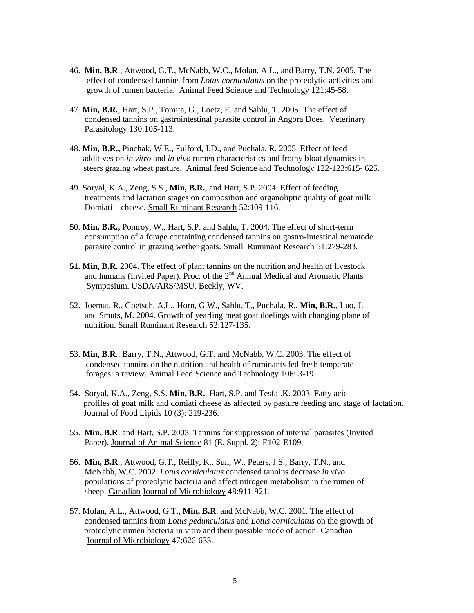- 46. **Min, B.R**., Attwood, G.T., McNabb, W.C., Molan, A.L., and Barry, T.N. 2005. The effect of condensed tannins from *Lotus corniculatus* on the proteolytic activities and growth of rumen bacteria. Animal Feed Science and Technology 121:45-58.
- 47. **Min, B.R.**, Hart, S.P., Tomita, G., Loetz, E. and Sahlu, T. 2005. The effect of condensed tannins on gastrointestinal parasite control in Angora Does. Veterinary Parasitology 130:105-113.
- 48. **Min, B.R.,** Pinchak, W.E., Fulford, J.D., and Puchala, R. 2005. Effect of feed additives on *in vitro* and *in vivo* rumen characteristics and frothy bloat dynamics in steers grazing wheat pasture. Animal feed Science and Technology 122-123:615- 625.
- 49. Soryal, K.A., Zeng, S.S., **Min, B.R.**, and Hart, S.P. 2004. Effect of feeding treatments and lactation stages on composition and organoliptic quality of goat milk Domiati cheese. Small Ruminant Research 52:109-116.
- 50. **Min, B.R.,** Pomroy, W., Hart, S.P. and Sahlu, T. 2004. The effect of short-term consumption of a forage containing condensed tannins on gastro-intestinal nematode parasite control in grazing wether goats. Small Ruminant Research 51:279-283.
- **51. Min, B.R.** 2004. The effect of plant tannins on the nutrition and health of livestock and humans (Invited Paper). Proc. of the  $2<sup>nd</sup>$  Annual Medical and Aromatic Plants Symposium. USDA/ARS/MSU, Beckly, WV.
- 52. Joemat, R., Goetsch, A.L., Horn, G.W., Sahlu, T., Puchala, R., **Min, B.R.**, Luo, J. and Smuts, M. 2004. Growth of yearling meat goat doelings with changing plane of nutrition. Small Ruminant Research 52:127-135.
- 53. **Min, B.R**., Barry, T.N., Attwood, G.T. and McNabb, W.C. 2003. The effect of condensed tannins on the nutrition and health of ruminants fed fresh temperate forages: a review. Animal Feed Science and Technology 106: 3-19.
- 54. Soryal, K.A., Zeng, S.S. **Min, B.R.**, Hart, S.P. and Tesfai.K. 2003. Fatty acid profiles of goat milk and domiati cheese as affected by pasture feeding and stage of lactation. Journal of Food Lipids 10 (3): 219-236.
- 55. **Min, B.R**. and Hart, S.P. 2003. Tannins for suppression of internal parasites (Invited Paper). Journal of Animal Science 81 (E. Suppl. 2): E102-E109.
- 56. **Min, B.R**., Attwood, G.T., Reilly, K., Sun, W., Peters, J.S., Barry, T.N., and McNabb, W.C. 2002. *Lotus corniculatus* condensed tannins decrease *in vivo* populations of proteolytic bacteria and affect nitrogen metabolism in the rumen of sheep. Canadian Journal of Microbiology 48:911-921.
- 57. Molan, A.L., Attwood, G.T., **Min, B.R**. and McNabb, W.C. 2001. The effect of condensed tannins from *Lotus pedunculatus* and *Lotus corniculatus* on the growth of proteolytic rumen bacteria in vitro and their possible mode of action. Canadian Journal of Microbiology 47:626-633.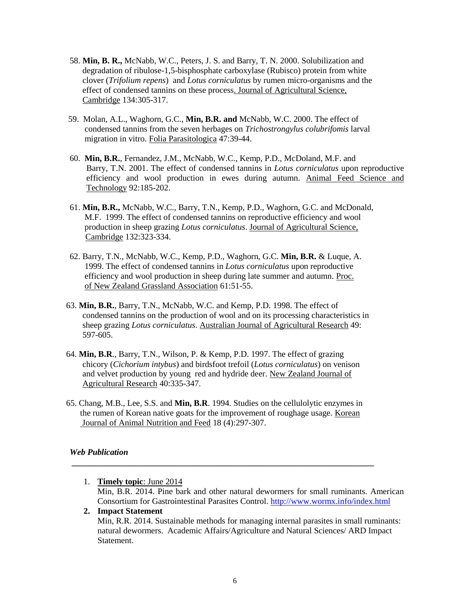- 58. **Min, B. R.,** McNabb, W.C., Peters, J. S. and Barry, T. N. 2000. Solubilization and degradation of ribulose-1,5-bisphosphate carboxylase (Rubisco) protein from white clover (*Trifolium repens*) and *Lotus corniculatus* by rumen micro-organisms and the effect of condensed tannins on these process. Journal of Agricultural Science, Cambridge 134:305-317.
- 59. Molan, A.L., Waghorn, G.C., **Min, B.R. and** McNabb, W.C. 2000. The effect of condensed tannins from the seven herbages on *Trichostrongylus colubrifomis* larval migration in vitro. Folia Parasitologica 47:39-44.
- 60. **Min, B.R.**, Fernandez, J.M., McNabb, W.C., Kemp, P.D., McDoland, M.F. and Barry, T.N. 2001. The effect of condensed tannins in *Lotus corniculatus* upon reproductive efficiency and wool production in ewes during autumn. Animal Feed Science and Technology 92:185-202.
- 61. **Min, B.R.,** McNabb, W.C., Barry, T.N., Kemp, P.D., Waghorn, G.C. and McDonald, M.F. 1999. The effect of condensed tannins on reproductive efficiency and wool production in sheep grazing *Lotus corniculatus*. Journal of Agricultural Science, Cambridge 132:323-334.
- 62. Barry, T.N., McNabb, W.C., Kemp, P.D., Waghorn, G.C. **Min, B.R.** & Luque, A. 1999. The effect of condensed tannins in *Lotus corniculatus* upon reproductive efficiency and wool production in sheep during late summer and autumn. Proc. of New Zealand Grassland Association 61:51-55.
- 63. **Min, B.R.**, Barry, T.N., McNabb, W.C. and Kemp, P.D. 1998. The effect of condensed tannins on the production of wool and on its processing characteristics in sheep grazing *Lotus corniculatus*. Australian Journal of Agricultural Research 49: 597-605.
- 64. **Min, B.R**., Barry, T.N., Wilson, P. & Kemp, P.D. 1997. The effect of grazing chicory (*Cichorium intybus*) and birdsfoot trefoil (*Lotus corniculatus*) on venison and velvet production by young red and hydride deer. New Zealand Journal of Agricultural Research 40:335-347.
- 65. Chang, M.B., Lee, S.S. and **Min, B.R**. 1994. Studies on the cellulolytic enzymes in the rumen of Korean native goats for the improvement of roughage usage. Korean Journal of Animal Nutrition and Feed 18 (4):297-307.

**\_\_\_\_\_\_\_\_\_\_\_\_\_\_\_\_\_\_\_\_\_\_\_\_\_\_\_\_\_\_\_\_\_\_\_\_\_\_\_\_\_\_\_\_\_\_\_\_\_\_\_\_\_\_\_\_\_\_\_\_\_\_\_\_\_\_\_\_\_\_\_**

# *Web Publication*

- 1. **Timely topic**: June 2014 Min, B.R. 2014. Pine bark and other natural dewormers for small ruminants. American Consortium for Gastrointestinal Parasites Control.<http://www.wormx.info/index.html> **2. Impact Statement**
- Min, R.R. 2014. Sustainable methods for managing internal parasites in small ruminants: natural dewormers. Academic Affairs/Agriculture and Natural Sciences/ ARD Impact Statement.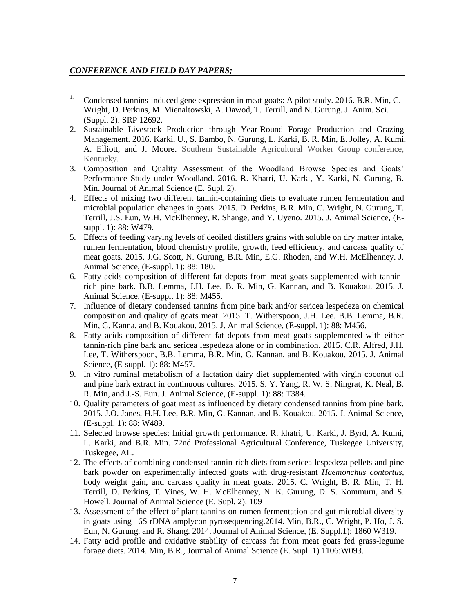## *CONFERENCE AND FIELD DAY PAPERS;*

- <sup>1.</sup> Condensed tannins-induced gene expression in meat goats: A pilot study. 2016. B.R. Min, C. Wright, D. Perkins, M. Mienaltowski, A. Dawod, T. Terrill, and N. Gurung. J. Anim. Sci. (Suppl. 2). SRP 12692.
- 2. Sustainable Livestock Production through Year-Round Forage Production and Grazing Management. 2016. Karki, U., S. Bambo, N. Gurung, L. Karki, B. R. Min, E. Jolley, A. Kumi, A. Elliott, and J. Moore. Southern Sustainable Agricultural Worker Group conference, Kentucky.
- 3. Composition and Quality Assessment of the Woodland Browse Species and Goats' Performance Study under Woodland. 2016. R. Khatri, U. Karki, Y. Karki, N. Gurung, B. Min. Journal of Animal Science (E. Supl. 2).
- 4. Effects of mixing two different tannin-containing diets to evaluate rumen fermentation and microbial population changes in goats. 2015. D. Perkins, B.R. Min, C. Wright, N. Gurung, T. Terrill, J.S. Eun, W.H. McElhenney, R. Shange, and Y. Uyeno. 2015. J. Animal Science, (Esuppl. 1): 88: W479.
- 5. Effects of feeding varying levels of deoiled distillers grains with soluble on dry matter intake, rumen fermentation, blood chemistry profile, growth, feed efficiency, and carcass quality of meat goats. 2015. J.G. Scott, N. Gurung, B.R. Min, E.G. Rhoden, and W.H. McElhenney. J. Animal Science, (E-suppl. 1): 88: 180.
- 6. Fatty acids composition of different fat depots from meat goats supplemented with tanninrich pine bark. B.B. Lemma, J.H. Lee, B. R. Min, G. Kannan, and B. Kouakou. 2015. J. Animal Science, (E-suppl. 1): 88: M455.
- 7. Influence of dietary condensed tannins from pine bark and/or sericea lespedeza on chemical composition and quality of goats meat. 2015. T. Witherspoon, J.H. Lee. B.B. Lemma, B.R. Min, G. Kanna, and B. Kouakou. 2015. J. Animal Science, (E-suppl. 1): 88: M456.
- 8. Fatty acids composition of different fat depots from meat goats supplemented with either tannin-rich pine bark and sericea lespedeza alone or in combination. 2015. C.R. Alfred, J.H. Lee, T. Witherspoon, B.B. Lemma, B.R. Min, G. Kannan, and B. Kouakou. 2015. J. Animal Science, (E-suppl. 1): 88: M457.
- 9. In vitro ruminal metabolism of a lactation dairy diet supplemented with virgin coconut oil and pine bark extract in continuous cultures. 2015. S. Y. Yang, R. W. S. Ningrat, K. Neal, B. R. Min, and J.-S. Eun. J. Animal Science, (E-suppl. 1): 88: T384.
- 10. Quality parameters of goat meat as influenced by dietary condensed tannins from pine bark. 2015. J.O. Jones, H.H. Lee, B.R. Min, G. Kannan, and B. Kouakou. 2015. J. Animal Science, (E-suppl. 1): 88: W489.
- 11. Selected browse species: Initial growth performance. R. khatri, U. Karki, J. Byrd, A. Kumi, L. Karki, and B.R. Min. 72nd Professional Agricultural Conference, Tuskegee University, Tuskegee, AL.
- 12. The effects of combining condensed tannin-rich diets from sericea lespedeza pellets and pine bark powder on experimentally infected goats with drug-resistant *Haemonchus contortus*, body weight gain, and carcass quality in meat goats. 2015. C. Wright, B. R. Min, T. H. Terrill, D. Perkins, T. Vines, W. H. McElhenney, N. K. Gurung, D. S. Kommuru, and S. Howell. Journal of Animal Science (E. Supl. 2). 109
- 13. Assessment of the effect of plant tannins on rumen fermentation and gut microbial diversity in goats using 16S rDNA amplycon pyrosequencing.2014. Min, B.R., C. Wright, P. Ho, J. S. Eun, N. Gurung, and R. Shang. 2014. Journal of Animal Science, (E. Suppl.1): 1860 W319.
- 14. Fatty acid profile and oxidative stability of carcass fat from meat goats fed grass-legume forage diets. 2014. Min, B.R., Journal of Animal Science (E. Supl. 1) 1106:W093.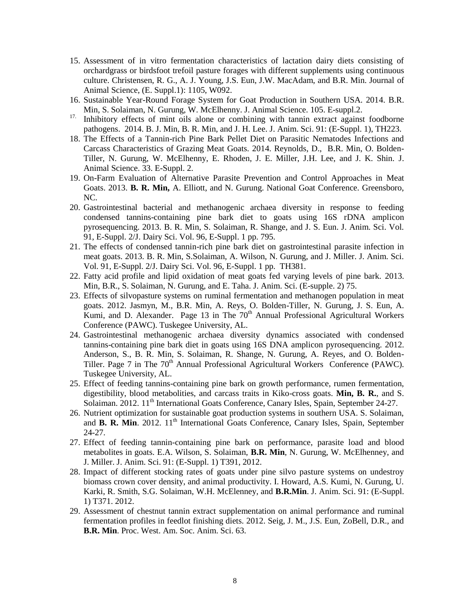- 15. Assessment of in vitro fermentation characteristics of lactation dairy diets consisting of orchardgrass or birdsfoot trefoil pasture forages with different supplements using continuous culture. Christensen, R. G., A. J. Young, J.S. Eun, J.W. MacAdam, and B.R. Min. Journal of Animal Science, (E. Suppl.1): 1105, W092.
- 16. Sustainable Year-Round Forage System for Goat Production in Southern USA. 2014. B.R. Min, S. Solaiman, N. Gurung, W. McElhenny. J. Animal Science. 105. E-suppl.2.
- <sup>17</sup>. Inhibitory effects of mint oils alone or combining with tannin extract against foodborne pathogens. 2014. B. J. Min, B. R. Min, and J. H. Lee. J. Anim. Sci. 91: (E-Suppl. 1), TH223.
- 18. The Effects of a Tannin-rich Pine Bark Pellet Diet on Parasitic Nematodes Infections and Carcass Characteristics of Grazing Meat Goats. 2014. Reynolds, D., B.R. Min, O. Bolden-Tiller, N. Gurung, W. McElhenny, E. Rhoden, J. E. Miller, J.H. Lee, and J. K. Shin. J. Animal Science. 33. E-Suppl. 2.
- 19. On-Farm Evaluation of Alternative Parasite Prevention and Control Approaches in Meat Goats. 2013. **B. R. Min,** A. Elliott, and N. Gurung. National Goat Conference. Greensboro, NC.
- 20. Gastrointestinal bacterial and methanogenic archaea diversity in response to feeding condensed tannins-containing pine bark diet to goats using 16S rDNA amplicon pyrosequencing. 2013. B. R. Min, S. Solaiman, R. Shange, and J. S. Eun. J. Anim. Sci. Vol. 91, E-Suppl. 2/J. Dairy Sci. Vol. 96, E-Suppl. 1 pp. 795.
- 21. The effects of condensed tannin-rich pine bark diet on gastrointestinal parasite infection in meat goats. 2013. B. R. Min, S.Solaiman, A. Wilson, N. Gurung, and J. Miller. J. Anim. Sci. Vol. 91, E-Suppl. 2/J. Dairy Sci. Vol. 96, E-Suppl. 1 pp. TH381.
- 22. Fatty acid profile and lipid oxidation of meat goats fed varying levels of pine bark. 2013. Min, B.R., S. Solaiman, N. Gurung, and E. Taha. J. Anim. Sci. (E-supple. 2) 75.
- 23. Effects of silvopasture systems on ruminal fermentation and methanogen population in meat goats. 2012. Jasmyn, M., B.R. Min, A. Reys, O. Bolden-Tiller, N. Gurung, J. S. Eun, A. Kumi, and D. Alexander. Page 13 in The  $70<sup>th</sup>$  Annual Professional Agricultural Workers Conference (PAWC). Tuskegee University, AL.
- 24. Gastrointestinal methanogenic archaea diversity dynamics associated with condensed tannins-containing pine bark diet in goats using 16S DNA amplicon pyrosequencing. 2012. Anderson, S., B. R. Min, S. Solaiman, R. Shange, N. Gurung, A. Reyes, and O. Bolden-Tiller. Page 7 in The  $70<sup>th</sup>$  Annual Professional Agricultural Workers Conference (PAWC). Tuskegee University, AL.
- 25. Effect of feeding tannins-containing pine bark on growth performance, rumen fermentation, digestibility, blood metabolities, and carcass traits in Kiko-cross goats. **Min, B. R.**, and S. Solaiman. 2012. 11<sup>th</sup> International Goats Conference, Canary Isles, Spain, September 24-27.
- 26. Nutrient optimization for sustainable goat production systems in southern USA. S. Solaiman, and **B. R. Min**. 2012. 11<sup>th</sup> International Goats Conference, Canary Isles, Spain, September 24-27.
- 27. Effect of feeding tannin-containing pine bark on performance, parasite load and blood metabolites in goats. E.A. Wilson, S. Solaiman, **B.R. Min**, N. Gurung, W. McElhenney, and J. Miller. J. Anim. Sci. 91: (E-Suppl. 1) T391, 2012.
- 28. Impact of different stocking rates of goats under pine silvo pasture systems on undestroy biomass crown cover density, and animal productivity. I. Howard, A.S. Kumi, N. Gurung, U. Karki, R. Smith, S.G. Solaiman, W.H. McElenney, and **B.R.Min**. J. Anim. Sci. 91: (E-Suppl. 1) T371. 2012.
- 29. Assessment of chestnut tannin extract supplementation on animal performance and ruminal fermentation profiles in feedlot finishing diets. 2012. Seig, J. M., J.S. Eun, ZoBell, D.R., and **B.R. Min**. Proc. West. Am. Soc. Anim. Sci. 63.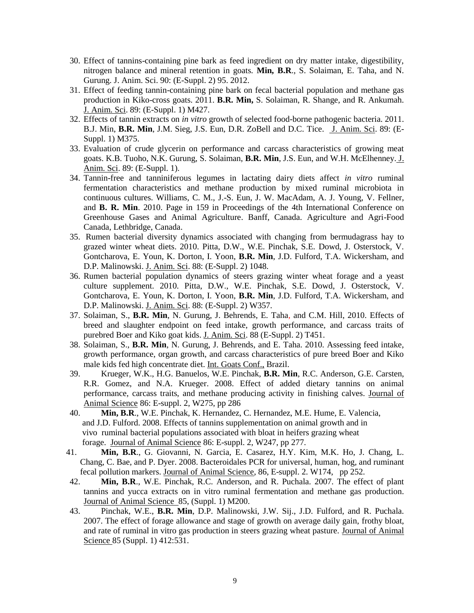- 30. Effect of tannins-containing pine bark as feed ingredient on dry matter intake, digestibility, nitrogen balance and mineral retention in goats. **Min, B.R**., S. Solaiman, E. Taha, and N. Gurung. J. Anim. Sci. 90: (E-Suppl. 2) 95. 2012.
- 31. Effect of feeding tannin-containing pine bark on fecal bacterial population and methane gas production in Kiko-cross goats. 2011. **B.R. Min,** S. Solaiman, R. Shange, and R. Ankumah. J. Anim. Sci. 89: (E-Suppl. 1) M427.
- 32. Effects of tannin extracts on *in vitro* growth of selected food-borne pathogenic bacteria. 2011. B.J. Min, **B.R. Min**, J.M. Sieg, J.S. Eun, D.R. ZoBell and D.C. Tice. J. Anim. Sci. 89: (E-Suppl. 1) M375.
- 33. Evaluation of crude glycerin on performance and carcass characteristics of growing meat goats. K.B. Tuoho, N.K. Gurung, S. Solaiman, **B.R. Min**, J.S. Eun, and W.H. McElhenney. J. Anim. Sci. 89: (E-Suppl. 1).
- 34. Tannin-free and tanniniferous legumes in lactating dairy diets affect *in vitro* ruminal fermentation characteristics and methane production by mixed ruminal microbiota in continuous cultures. Williams, C. M., J.-S. Eun, J. W. MacAdam, A. J. Young, V. Fellner, and **B. R. Min**. 2010. Page in 159 in Proceedings of the 4th International Conference on Greenhouse Gases and Animal Agriculture. Banff, Canada. Agriculture and Agri-Food Canada, Lethbridge, Canada.
- 35. Rumen bacterial diversity dynamics associated with changing from bermudagrass hay to grazed winter wheat diets. 2010. Pitta, D.W., W.E. Pinchak, S.E. Dowd, J. Osterstock, V. Gontcharova, E. Youn, K. Dorton, I. Yoon, **B.R. Min**, J.D. Fulford, T.A. Wickersham, and D.P. Malinowski. J. Anim. Sci. 88: (E-Suppl. 2) 1048.
- 36. Rumen bacterial population dynamics of steers grazing winter wheat forage and a yeast culture supplement. 2010. Pitta, D.W., W.E. Pinchak, S.E. Dowd, J. Osterstock, V. Gontcharova, E. Youn, K. Dorton, I. Yoon, **B.R. Min**, J.D. Fulford, T.A. Wickersham, and D.P. Malinowski. J. Anim. Sci. 88: (E-Suppl. 2) W357.
- 37. Solaiman, S., **B.R. Min**, N. Gurung, J. Behrends, E. Taha, and C.M. Hill, 2010. Effects of breed and slaughter endpoint on feed intake, growth performance, and carcass traits of purebred Boer and Kiko goat kids. J. Anim. Sci. 88 (E-Suppl. 2) T451.
- 38. Solaiman, S., **B.R. Min**, N. Gurung, J. Behrends, and E. Taha. 2010. Assessing feed intake, growth performance, organ growth, and carcass characteristics of pure breed Boer and Kiko male kids fed high concentrate diet. Int. Goats Conf., Brazil.
- 39. Krueger, W.K., H.G. Banuelos, W.E. Pinchak, **B.R. Min**, R.C. Anderson, G.E. Carsten, R.R. Gomez, and N.A. Krueger. 2008. Effect of added dietary tannins on animal performance, carcass traits, and methane producing activity in finishing calves. Journal of Animal Science 86: E-suppl. 2, W275, pp 286
- 40. **Min, B.R**., W.E. Pinchak, K. Hernandez, C. Hernandez, M.E. Hume, E. Valencia, and J.D. Fulford. 2008. Effects of tannins supplementation on animal growth and in vivo ruminal bacterial populations associated with bloat in heifers grazing wheat forage. Journal of Animal Science 86: E-suppl. 2, W247, pp 277.
- 41. **Min, B.R**., G. Giovanni, N. Garcia, E. Casarez, H.Y. Kim, M.K. Ho, J. Chang, L. Chang, C. Bae, and P. Dyer. 2008. Bacteroidales PCR for universal, human, hog, and ruminant fecal pollution markers. Journal of Animal Science, 86, E-suppl. 2. W174, pp 252.
- 42. **Min, B.R**., W.E. Pinchak, R.C. Anderson, and R. Puchala. 2007. The effect of plant tannins and yucca extracts on in vitro ruminal fermentation and methane gas production. Journal of Animal Science 85, (Suppl. 1) M200.
- 43. Pinchak, W.E., **B.R. Min**, D.P. Malinowski, J.W. Sij., J.D. Fulford, and R. Puchala. 2007. The effect of forage allowance and stage of growth on average daily gain, frothy bloat, and rate of ruminal in vitro gas production in steers grazing wheat pasture. Journal of Animal Science 85 (Suppl. 1) 412:531.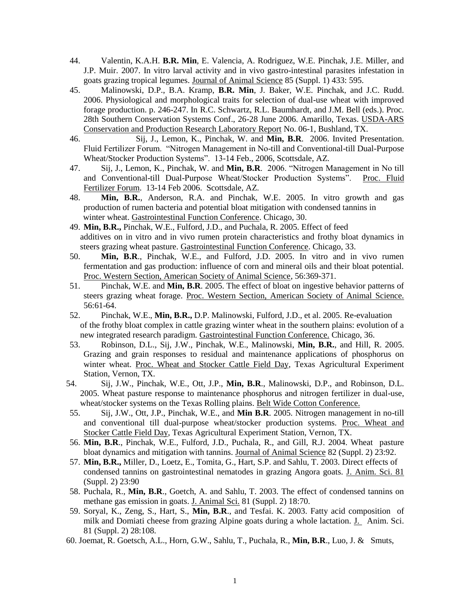- 44. Valentin, K.A.H. **B.R. Min**, E. Valencia, A. Rodriguez, W.E. Pinchak, J.E. Miller, and J.P. Muir. 2007. In vitro larval activity and in vivo gastro-intestinal parasites infestation in goats grazing tropical legumes. Journal of Animal Science 85 (Suppl. 1) 433: 595.
- 45. Malinowski, D.P., B.A. Kramp, **B.R. Min**, J. Baker, W.E. Pinchak, and J.C. Rudd. 2006. Physiological and morphological traits for selection of dual-use wheat with improved forage production. p. 246-247. In R.C. Schwartz, R.L. Baumhardt, and J.M. Bell (eds.). Proc. 28th Southern Conservation Systems Conf., 26-28 June 2006. Amarillo, Texas. USDA-ARS Conservation and Production Research Laboratory Report No. 06-1, Bushland, TX.
- 46. Sij, J., Lemon, K., Pinchak, W. and **Min, B.R**. 2006. Invited Presentation. Fluid Fertilizer Forum. "Nitrogen Management in No-till and Conventional-till Dual-Purpose Wheat/Stocker Production Systems". 13-14 Feb., 2006, Scottsdale, AZ.
- 47. Sij, J., Lemon, K., Pinchak, W. and **Min, B.R**. 2006. "Nitrogen Management in No till and Conventional-till Dual-Purpose Wheat/Stocker Production Systems". Proc. Fluid Fertilizer Forum. 13-14 Feb 2006. Scottsdale, AZ.
- 48. **Min, B.R.**, Anderson, R.A. and Pinchak, W.E. 2005. In vitro growth and gas production of rumen bacteria and potential bloat mitigation with condensed tannins in winter wheat. Gastrointestinal Function Conference. Chicago, 30.
- 49. **Min, B.R.,** Pinchak, W.E., Fulford, J.D., and Puchala, R. 2005. Effect of feed additives on in vitro and in vivo rumen protein characteristics and frothy bloat dynamics in steers grazing wheat pasture. Gastrointestinal Function Conference. Chicago, 33.
- 50. **Min, B.R**., Pinchak, W.E., and Fulford, J.D. 2005. In vitro and in vivo rumen fermentation and gas production: influence of corn and mineral oils and their bloat potential. Proc. Western Section, American Society of Animal Science, 56:369-371.
- 51. Pinchak, W.E. and **Min, B.R**. 2005. The effect of bloat on ingestive behavior patterns of steers grazing wheat forage. Proc. Western Section, American Society of Animal Science. 56:61-64.
- 52. Pinchak, W.E., **Min, B.R.,** D.P. Malinowski, Fulford, J.D., et al. 2005. Re-evaluation of the frothy bloat complex in cattle grazing winter wheat in the southern plains: evolution of a new integrated research paradigm. Gastrointestinal Function Conference. Chicago, 36.
- 53. Robinson, D.L., Sij, J.W., Pinchak, W.E., Malinowski, **Min, B.R.**, and Hill, R. 2005. Grazing and grain responses to residual and maintenance applications of phosphorus on winter wheat. Proc. Wheat and Stocker Cattle Field Day, Texas Agricultural Experiment Station, Vernon, TX.
- 54. Sij, J.W., Pinchak, W.E., Ott, J.P., **Min, B.R**., Malinowski, D.P., and Robinson, D.L. 2005. Wheat pasture response to maintenance phosphorus and nitrogen fertilizer in dual-use, wheat/stocker systems on the Texas Rolling plains. Belt Wide Cotton Conference.
- 55. Sij, J.W., Ott, J.P., Pinchak, W.E., and **Min B.R**. 2005. Nitrogen management in no-till and conventional till dual-purpose wheat/stocker production systems. Proc. Wheat and Stocker Cattle Field Day, Texas Agricultural Experiment Station, Vernon, TX.
- 56. **Min, B.R**., Pinchak, W.E., Fulford, J.D., Puchala, R., and Gill, R.J. 2004. Wheat pasture bloat dynamics and mitigation with tannins. Journal of Animal Science 82 (Suppl. 2) 23:92.
- 57. **Min, B.R.,** Miller, D., Loetz, E., Tomita, G., Hart, S.P. and Sahlu, T. 2003. Direct effects of condensed tannins on gastrointestinal nematodes in grazing Angora goats. J. Anim. Sci. 81 (Suppl. 2) 23:90
- 58. Puchala, R., **Min, B.R**., Goetch, A. and Sahlu, T. 2003. The effect of condensed tannins on methane gas emission in goats. J. Animal Sci. 81 (Suppl. 2) 18:70.
- 59. Soryal, K., Zeng, S., Hart, S., **Min, B.R**., and Tesfai. K. 2003. Fatty acid composition of milk and Domiati cheese from grazing Alpine goats during a whole lactation. J. Anim. Sci. 81 (Suppl. 2) 28:108.
- 60. Joemat, R. Goetsch, A.L., Horn, G.W., Sahlu, T., Puchala, R., **Min, B.R**., Luo, J. & Smuts,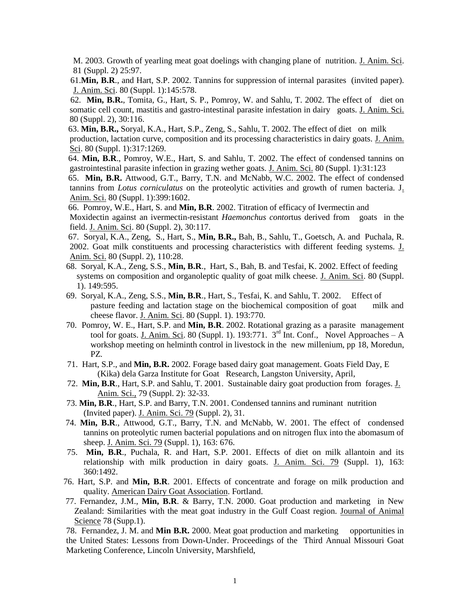M. 2003. Growth of yearling meat goat doelings with changing plane of nutrition. J. Anim. Sci. 81 (Suppl. 2) 25:97.

 61.**Min, B.R**., and Hart, S.P. 2002. Tannins for suppression of internal parasites (invited paper). J. Anim. Sci. 80 (Suppl. 1):145:578.

 62. **Min, B.R.**, Tomita, G., Hart, S. P., Pomroy, W. and Sahlu, T. 2002. The effect of diet on somatic cell count, mastitis and gastro-intestinal parasite infestation in dairy goats. J. Anim. Sci. 80 (Suppl. 2), 30:116.

63. **Min, B.R.,** Soryal, K.A., Hart, S.P., Zeng, S., Sahlu, T. 2002. The effect of diet on milk production, lactation curve, composition and its processing characteristics in dairy goats. J. Anim. Sci. 80 (Suppl. 1):317:1269.

64. **Min, B.R**., Pomroy, W.E., Hart, S. and Sahlu, T. 2002. The effect of condensed tannins on gastrointestinal parasite infection in grazing wether goats. J. Anim. Sci. 80 (Suppl. 1):31:123

65. **Min, B.R.** Attwood, G.T., Barry, T.N. and McNabb, W.C. 2002. The effect of condensed tannins from *Lotus corniculatus* on the proteolytic activities and growth of rumen bacteria. J. Anim. Sci. 80 (Suppl. 1):399:1602.

66. Pomroy, W.E., Hart, S. and **Min, B.R**. 2002. Titration of efficacy of Ivermectin and Moxidectin against an ivermectin-resistant *Haemonchus conto*rtus derived from goats in the field. J. Anim. Sci. 80 (Suppl. 2), 30:117.

- 67. Soryal, K.A., Zeng, S., Hart, S., **Min, B.R.,** Bah, B., Sahlu, T., Goetsch, A. and Puchala, R. 2002. Goat milk constituents and processing characteristics with different feeding systems. J. Anim. Sci. 80 (Suppl. 2), 110:28.
- 68. Soryal, K.A., Zeng, S.S., **Min, B.R**., Hart, S., Bah, B. and Tesfai, K. 2002. Effect of feeding systems on composition and organoleptic quality of goat milk cheese. J. Anim. Sci. 80 (Suppl. 1). 149:595.
- 69. Soryal, K.A., Zeng, S.S., **Min, B.R**., Hart, S., Tesfai, K. and Sahlu, T. 2002. Effect of pasture feeding and lactation stage on the biochemical composition of goat milk and cheese flavor. J. Anim. Sci. 80 (Suppl. 1). 193:770.
- 70. Pomroy, W. E., Hart, S.P. and **Min, B.R**. 2002. Rotational grazing as a parasite management tool for goats. J. Anim. Sci. 80 (Suppl. 1). 193:771.  $3<sup>rd</sup>$  Int. Conf., Novel Approaches – A workshop meeting on helminth control in livestock in the new millenium, pp 18, Moredun, PZ.
- 71. Hart, S.P., and **Min, B.R.** 2002. Forage based dairy goat management. Goats Field Day, E (Kika) dela Garza Institute for Goat Research, Langston University, April,
- 72. **Min, B.R**., Hart, S.P. and Sahlu, T. 2001. Sustainable dairy goat production from forages. J. Anim. Sci., 79 (Suppl. 2): 32-33.
- 73. **Min, B.R**., Hart, S.P. and Barry, T.N. 2001. Condensed tannins and ruminant nutrition (Invited paper). J. Anim. Sci. 79 (Suppl. 2), 31.
- 74. **Min, B.R**., Attwood, G.T., Barry, T.N. and McNabb, W. 2001. The effect of condensed tannins on proteolytic rumen bacterial populations and on nitrogen flux into the abomasum of sheep. J. Anim. Sci. 79 (Suppl. 1), 163: 676.
- 75. **Min, B.R**., Puchala, R. and Hart, S.P. 2001. Effects of diet on milk allantoin and its relationship with milk production in dairy goats. J. Anim. Sci. 79 (Suppl. 1), 163: 360:1492.
- 76. Hart, S.P. and **Min, B.R**. 2001. Effects of concentrate and forage on milk production and quality. American Dairy Goat Association. Fortland.
- 77. Fernandez, J.M., **Min, B.R**. & Barry, T.N. 2000. Goat production and marketing in New Zealand: Similarities with the meat goat industry in the Gulf Coast region. Journal of Animal Science 78 (Supp.1).

78. Fernandez, J. M. and **Min B.R.** 2000. Meat goat production and marketing opportunities in the United States: Lessons from Down-Under. Proceedings of the Third Annual Missouri Goat Marketing Conference, Lincoln University, Marshfield,